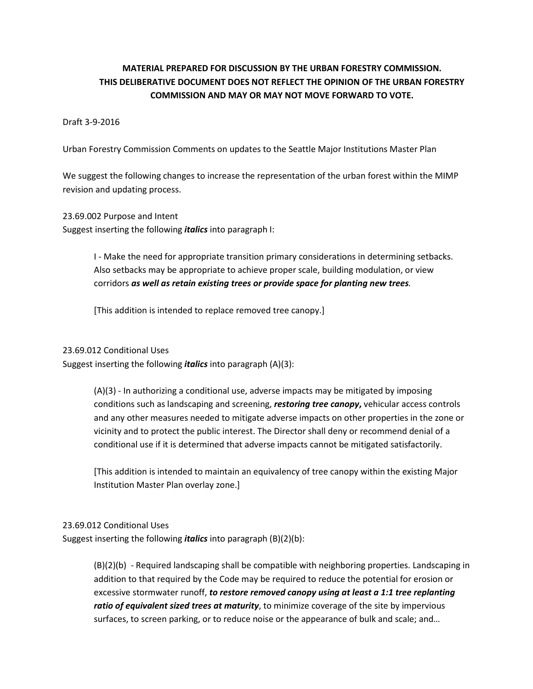### **MATERIAL PREPARED FOR DISCUSSION BY THE URBAN FORESTRY COMMISSION. THIS DELIBERATIVE DOCUMENT DOES NOT REFLECT THE OPINION OF THE URBAN FORESTRY COMMISSION AND MAY OR MAY NOT MOVE FORWARD TO VOTE.**

### Draft 3-9-2016

Urban Forestry Commission Comments on updates to the Seattle Major Institutions Master Plan

We suggest the following changes to increase the representation of the urban forest within the MIMP revision and updating process.

23.69.002 Purpose and Intent Suggest inserting the following *italics* into paragraph I:

> I - Make the need for appropriate transition primary considerations in determining setbacks. Also setbacks may be appropriate to achieve proper scale, building modulation, or view corridors *as well as retain existing trees or provide space for planting new trees.*

[This addition is intended to replace removed tree canopy.]

#### 23.69.012 Conditional Uses

Suggest inserting the following *italics* into paragraph (A)(3):

(A)(3) - In authorizing a conditional use, adverse impacts may be mitigated by imposing conditions such as landscaping and screening, *restoring tree canopy***,** vehicular access controls and any other measures needed to mitigate adverse impacts on other properties in the zone or vicinity and to protect the public interest. The Director shall deny or recommend denial of a conditional use if it is determined that adverse impacts cannot be mitigated satisfactorily.

[This addition is intended to maintain an equivalency of tree canopy within the existing Major Institution Master Plan overlay zone.]

#### 23.69.012 Conditional Uses

Suggest inserting the following *italics* into paragraph (B)(2)(b):

(B)(2)(b) - Required landscaping shall be compatible with neighboring properties. Landscaping in addition to that required by the Code may be required to reduce the potential for erosion or excessive stormwater runoff, *to restore removed canopy using at least a 1:1 tree replanting ratio of equivalent sized trees at maturity*, to minimize coverage of the site by impervious surfaces, to screen parking, or to reduce noise or the appearance of bulk and scale; and…